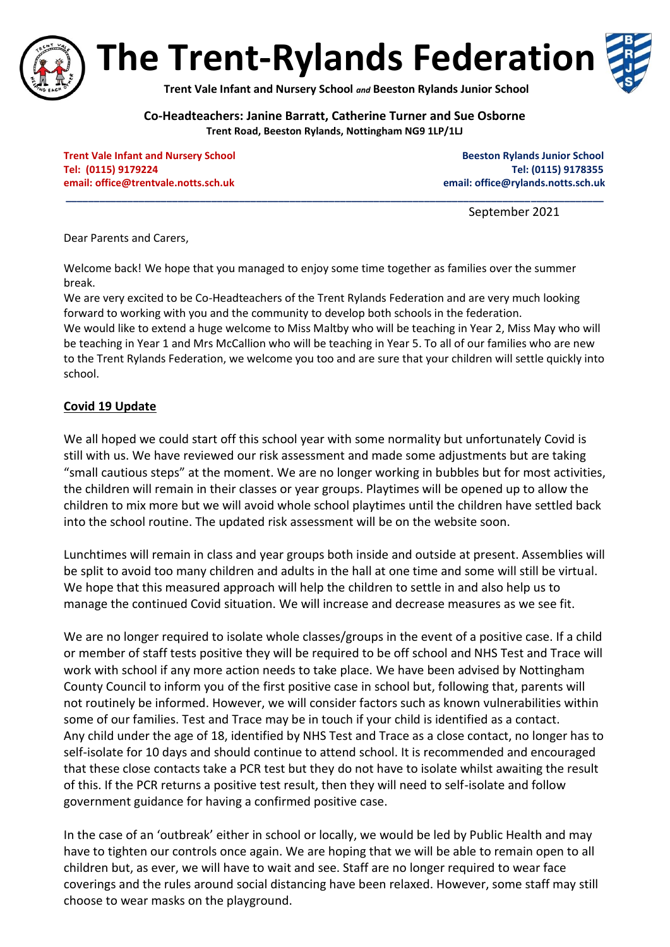

**The Trent-Rylands Federation**

**Trent Vale Infant and Nursery School** *and* **Beeston Rylands Junior School**

**Co-Headteachers: Janine Barratt, Catherine Turner and Sue Osborne Trent Road, Beeston Rylands, Nottingham NG9 1LP/1LJ**

**\_\_\_\_\_\_\_\_\_\_\_\_\_\_\_\_\_\_\_\_\_\_\_\_\_\_\_\_\_\_\_\_\_\_\_\_\_\_\_\_\_\_\_\_\_\_\_\_\_\_\_\_\_\_\_\_\_\_\_\_\_\_\_\_\_\_\_\_\_\_\_\_\_\_\_\_\_\_\_\_\_\_\_\_\_\_\_\_\_\_\_\_\_\_\_\_**

**Trent Vale Infant and Nursery School School Beeston Rylands Junior School Beeston Rylands Junior School Tel: (0115) 9179224 Tel: (0115) 9178355 email[: office@trentvale.notts.sch.uk](mailto:office@trentvale.notts.sch.uk) email: [office@rylands.notts.sch.uk](mailto:office@rylands.notts.sch.uk)**

September 2021

Dear Parents and Carers,

Welcome back! We hope that you managed to enjoy some time together as families over the summer break.

We are very excited to be Co-Headteachers of the Trent Rylands Federation and are very much looking forward to working with you and the community to develop both schools in the federation. We would like to extend a huge welcome to Miss Maltby who will be teaching in Year 2, Miss May who will be teaching in Year 1 and Mrs McCallion who will be teaching in Year 5. To all of our families who are new to the Trent Rylands Federation, we welcome you too and are sure that your children will settle quickly into school.

### **Covid 19 Update**

We all hoped we could start off this school year with some normality but unfortunately Covid is still with us. We have reviewed our risk assessment and made some adjustments but are taking "small cautious steps" at the moment. We are no longer working in bubbles but for most activities, the children will remain in their classes or year groups. Playtimes will be opened up to allow the children to mix more but we will avoid whole school playtimes until the children have settled back into the school routine. The updated risk assessment will be on the website soon.

Lunchtimes will remain in class and year groups both inside and outside at present. Assemblies will be split to avoid too many children and adults in the hall at one time and some will still be virtual. We hope that this measured approach will help the children to settle in and also help us to manage the continued Covid situation. We will increase and decrease measures as we see fit.

We are no longer required to isolate whole classes/groups in the event of a positive case. If a child or member of staff tests positive they will be required to be off school and NHS Test and Trace will work with school if any more action needs to take place. We have been advised by Nottingham County Council to inform you of the first positive case in school but, following that, parents will not routinely be informed. However, we will consider factors such as known vulnerabilities within some of our families. Test and Trace may be in touch if your child is identified as a contact. Any child under the age of 18, identified by NHS Test and Trace as a close contact, no longer has to self-isolate for 10 days and should continue to attend school. It is recommended and encouraged that these close contacts take a PCR test but they do not have to isolate whilst awaiting the result of this. If the PCR returns a positive test result, then they will need to self-isolate and follow government guidance for having a confirmed positive case.

In the case of an 'outbreak' either in school or locally, we would be led by Public Health and may have to tighten our controls once again. We are hoping that we will be able to remain open to all children but, as ever, we will have to wait and see. Staff are no longer required to wear face coverings and the rules around social distancing have been relaxed. However, some staff may still choose to wear masks on the playground.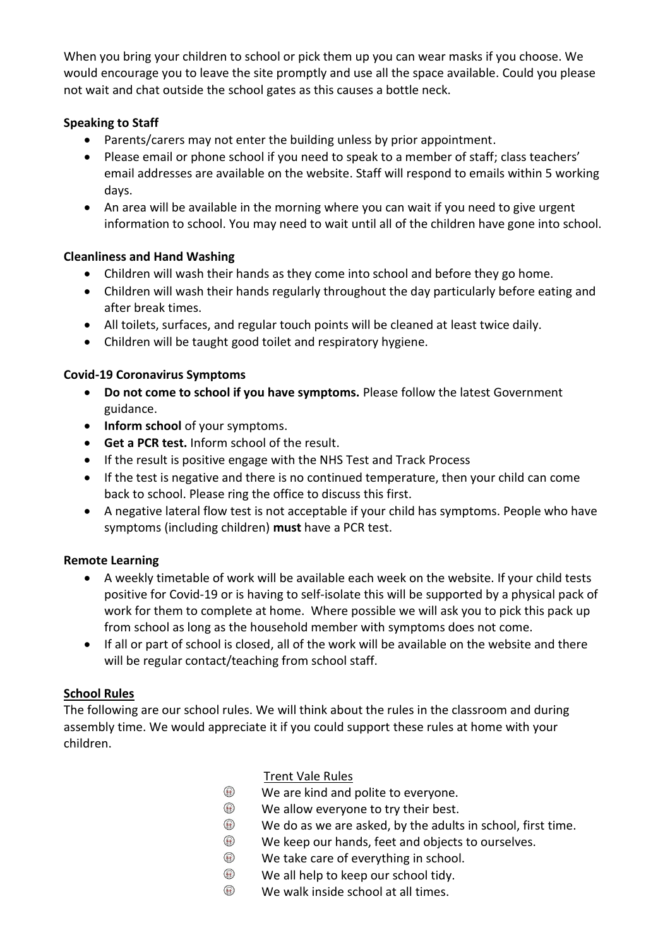When you bring your children to school or pick them up you can wear masks if you choose. We would encourage you to leave the site promptly and use all the space available. Could you please not wait and chat outside the school gates as this causes a bottle neck.

## **Speaking to Staff**

- Parents/carers may not enter the building unless by prior appointment.
- Please email or phone school if you need to speak to a member of staff; class teachers' email addresses are available on the website. Staff will respond to emails within 5 working days.
- An area will be available in the morning where you can wait if you need to give urgent information to school. You may need to wait until all of the children have gone into school.

## **Cleanliness and Hand Washing**

- Children will wash their hands as they come into school and before they go home.
- Children will wash their hands regularly throughout the day particularly before eating and after break times.
- All toilets, surfaces, and regular touch points will be cleaned at least twice daily.
- Children will be taught good toilet and respiratory hygiene.

### **Covid-19 Coronavirus Symptoms**

- **Do not come to school if you have symptoms.** Please follow the latest Government guidance.
- **•** Inform school of your symptoms.
- **Get a PCR test.** Inform school of the result.
- If the result is positive engage with the NHS Test and Track Process
- If the test is negative and there is no continued temperature, then your child can come back to school. Please ring the office to discuss this first.
- A negative lateral flow test is not acceptable if your child has symptoms. People who have symptoms (including children) **must** have a PCR test.

## **Remote Learning**

- A weekly timetable of work will be available each week on the website. If your child tests positive for Covid-19 or is having to self-isolate this will be supported by a physical pack of work for them to complete at home. Where possible we will ask you to pick this pack up from school as long as the household member with symptoms does not come.
- If all or part of school is closed, all of the work will be available on the website and there will be regular contact/teaching from school staff.

### **School Rules**

The following are our school rules. We will think about the rules in the classroom and during assembly time. We would appreciate it if you could support these rules at home with your children.

- Trent Vale Rules
- $\bigcirc$ We are kind and polite to everyone.
- $\circledR$ We allow everyone to try their best.
- $\circledast$ We do as we are asked, by the adults in school, first time.
- $\circledast$ We keep our hands, feet and objects to ourselves.
- $\circledast$ We take care of everything in school.
- $\circledast$ We all help to keep our school tidy.
- $\circledast$ We walk inside school at all times.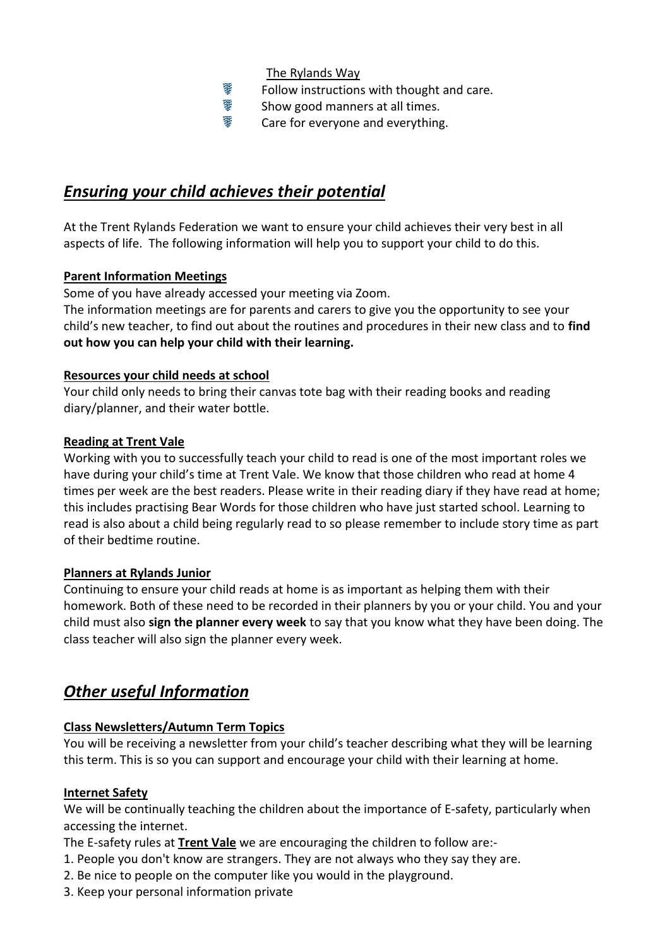The Rylands Way

- ≇ Follow instructions with thought and care.
- ¥. Show good manners at all times.
- 搴 Care for everyone and everything.

## *Ensuring your child achieves their potential*

At the Trent Rylands Federation we want to ensure your child achieves their very best in all aspects of life. The following information will help you to support your child to do this.

### **Parent Information Meetings**

Some of you have already accessed your meeting via Zoom.

The information meetings are for parents and carers to give you the opportunity to see your child's new teacher, to find out about the routines and procedures in their new class and to **find out how you can help your child with their learning.** 

## **Resources your child needs at school**

Your child only needs to bring their canvas tote bag with their reading books and reading diary/planner, and their water bottle.

## **Reading at Trent Vale**

Working with you to successfully teach your child to read is one of the most important roles we have during your child's time at Trent Vale. We know that those children who read at home 4 times per week are the best readers. Please write in their reading diary if they have read at home; this includes practising Bear Words for those children who have just started school. Learning to read is also about a child being regularly read to so please remember to include story time as part of their bedtime routine.

### **Planners at Rylands Junior**

Continuing to ensure your child reads at home is as important as helping them with their homework. Both of these need to be recorded in their planners by you or your child. You and your child must also **sign the planner every week** to say that you know what they have been doing. The class teacher will also sign the planner every week.

# *Other useful Information*

## **Class Newsletters/Autumn Term Topics**

You will be receiving a newsletter from your child's teacher describing what they will be learning this term. This is so you can support and encourage your child with their learning at home.

## **Internet Safety**

We will be continually teaching the children about the importance of E-safety, particularly when accessing the internet.

The E-safety rules at **Trent Vale** we are encouraging the children to follow are:-

- 1. People you don't know are strangers. They are not always who they say they are.
- 2. Be nice to people on the computer like you would in the playground.
- 3. Keep your personal information private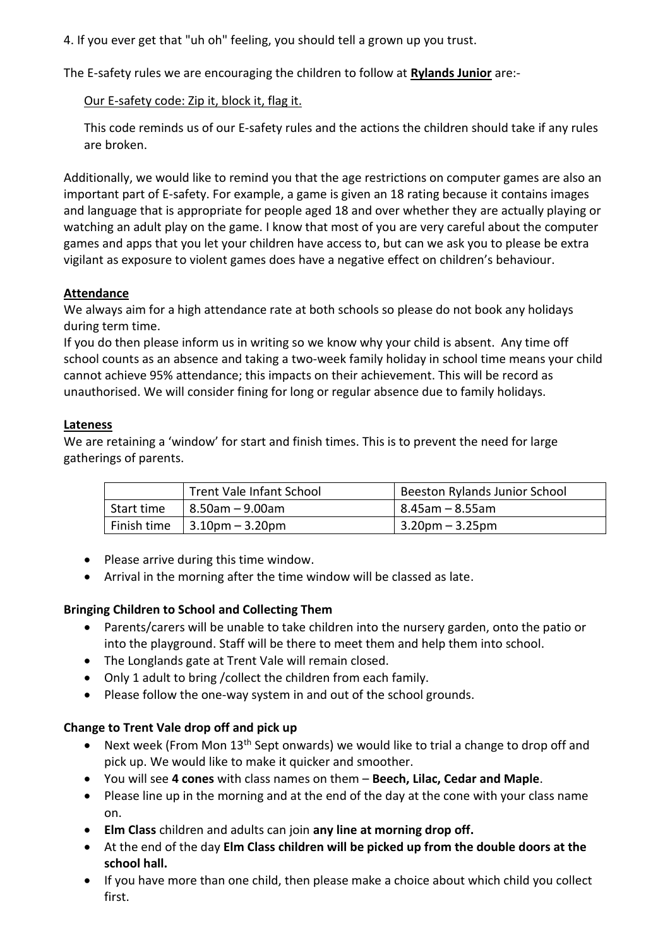4. If you ever get that "uh oh" feeling, you should tell a grown up you trust.

The E-safety rules we are encouraging the children to follow at **Rylands Junior** are:-

## Our E-safety code: Zip it, block it, flag it.

This code reminds us of our E-safety rules and the actions the children should take if any rules are broken.

Additionally, we would like to remind you that the age restrictions on computer games are also an important part of E-safety. For example, a game is given an 18 rating because it contains images and language that is appropriate for people aged 18 and over whether they are actually playing or watching an adult play on the game. I know that most of you are very careful about the computer games and apps that you let your children have access to, but can we ask you to please be extra vigilant as exposure to violent games does have a negative effect on children's behaviour.

## **Attendance**

We always aim for a high attendance rate at both schools so please do not book any holidays during term time.

If you do then please inform us in writing so we know why your child is absent. Any time off school counts as an absence and taking a two-week family holiday in school time means your child cannot achieve 95% attendance; this impacts on their achievement. This will be record as unauthorised. We will consider fining for long or regular absence due to family holidays.

## **Lateness**

We are retaining a 'window' for start and finish times. This is to prevent the need for large gatherings of parents.

|            | Trent Vale Infant School                                     | Beeston Rylands Junior School |
|------------|--------------------------------------------------------------|-------------------------------|
| Start time | 8.50am – 9.00am                                              | 8.45am – 8.55am               |
|            | Finish time $\left  3.10 \text{pm} - 3.20 \text{pm} \right $ | $ 3.20$ pm – 3.25pm           |

- Please arrive during this time window.
- Arrival in the morning after the time window will be classed as late.

## **Bringing Children to School and Collecting Them**

- Parents/carers will be unable to take children into the nursery garden, onto the patio or into the playground. Staff will be there to meet them and help them into school.
- The Longlands gate at Trent Vale will remain closed.
- Only 1 adult to bring /collect the children from each family.
- Please follow the one-way system in and out of the school grounds.

## **Change to Trent Vale drop off and pick up**

- Next week (From Mon 13<sup>th</sup> Sept onwards) we would like to trial a change to drop off and pick up. We would like to make it quicker and smoother.
- You will see **4 cones** with class names on them **Beech, Lilac, Cedar and Maple**.
- Please line up in the morning and at the end of the day at the cone with your class name on.
- **Elm Class** children and adults can join **any line at morning drop off.**
- At the end of the day **Elm Class children will be picked up from the double doors at the school hall.**
- If you have more than one child, then please make a choice about which child you collect first.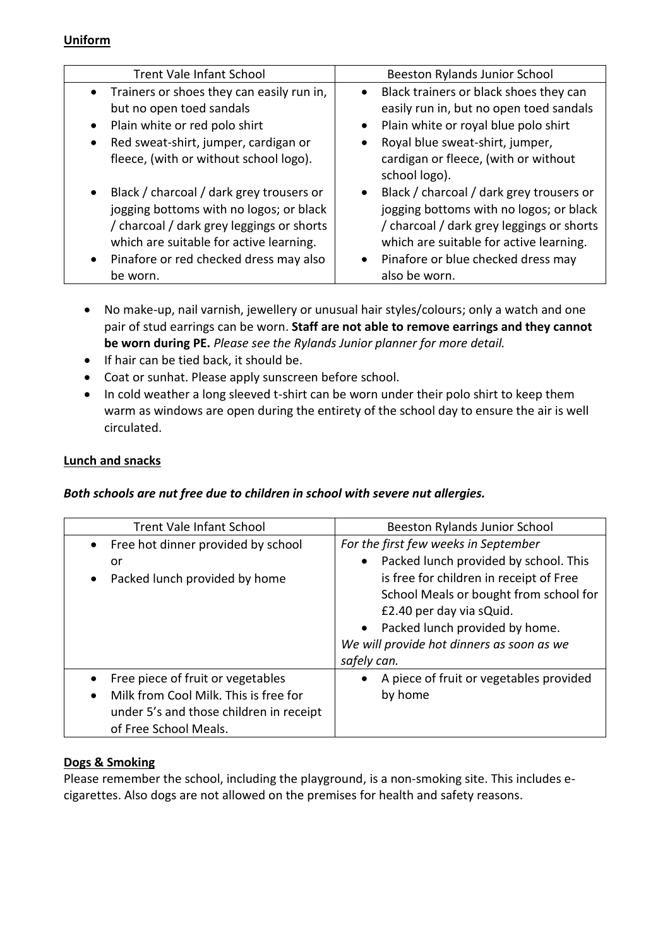## **Uniform**

| <b>Trent Vale Infant School</b>                                                                                                                                                                                                                             | Beeston Rylands Junior School                                                                                                                                                                                                                       |
|-------------------------------------------------------------------------------------------------------------------------------------------------------------------------------------------------------------------------------------------------------------|-----------------------------------------------------------------------------------------------------------------------------------------------------------------------------------------------------------------------------------------------------|
| • Trainers or shoes they can easily run in,<br>but no open toed sandals<br>Plain white or red polo shirt<br>$\bullet$<br>Red sweat-shirt, jumper, cardigan or<br>$\bullet$<br>fleece, (with or without school logo).                                        | • Black trainers or black shoes they can<br>easily run in, but no open toed sandals<br>• Plain white or royal blue polo shirt<br>Royal blue sweat-shirt, jumper,<br>cardigan or fleece, (with or without                                            |
| Black / charcoal / dark grey trousers or<br>$\bullet$<br>jogging bottoms with no logos; or black<br>/ charcoal / dark grey leggings or shorts<br>which are suitable for active learning.<br>Pinafore or red checked dress may also<br>$\bullet$<br>be worn. | school logo).<br>Black / charcoal / dark grey trousers or<br>jogging bottoms with no logos; or black<br>/ charcoal / dark grey leggings or shorts<br>which are suitable for active learning.<br>Pinafore or blue checked dress may<br>also be worn. |

- No make-up, nail varnish, jewellery or unusual hair styles/colours; only a watch and one pair of stud earrings can be worn. **Staff are not able to remove earrings and they cannot be worn during PE.** *Please see the Rylands Junior planner for more detail.*
- If hair can be tied back, it should be.
- Coat or sunhat. Please apply sunscreen before school.
- In cold weather a long sleeved t-shirt can be worn under their polo shirt to keep them warm as windows are open during the entirety of the school day to ensure the air is well circulated.

### **Lunch and snacks**

### *Both schools are nut free due to children in school with severe nut allergies.*

| <b>Trent Vale Infant School</b>                                                                                                                | <b>Beeston Rylands Junior School</b>                                                                                                                                                                                                                                                                                   |
|------------------------------------------------------------------------------------------------------------------------------------------------|------------------------------------------------------------------------------------------------------------------------------------------------------------------------------------------------------------------------------------------------------------------------------------------------------------------------|
| Free hot dinner provided by school<br>or<br>Packed lunch provided by home                                                                      | For the first few weeks in September<br>Packed lunch provided by school. This<br>$\bullet$<br>is free for children in receipt of Free<br>School Meals or bought from school for<br>£2.40 per day via sQuid.<br>Packed lunch provided by home.<br>$\bullet$<br>We will provide hot dinners as soon as we<br>safely can. |
| Free piece of fruit or vegetables<br>Milk from Cool Milk. This is free for<br>under 5's and those children in receipt<br>of Free School Meals. | A piece of fruit or vegetables provided<br>$\bullet$<br>by home                                                                                                                                                                                                                                                        |

### **Dogs & Smoking**

Please remember the school, including the playground, is a non-smoking site. This includes ecigarettes. Also dogs are not allowed on the premises for health and safety reasons.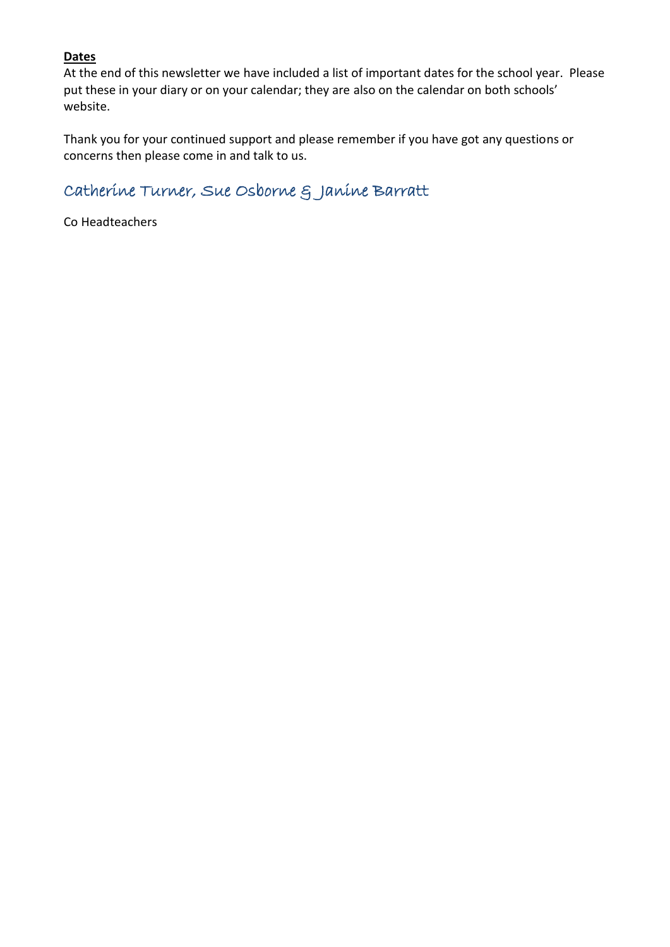## **Dates**

At the end of this newsletter we have included a list of important dates for the school year. Please put these in your diary or on your calendar; they are also on the calendar on both schools' website.

Thank you for your continued support and please remember if you have got any questions or concerns then please come in and talk to us.

# Catherine Turner, Sue Osborne & Janine Barratt

Co Headteachers